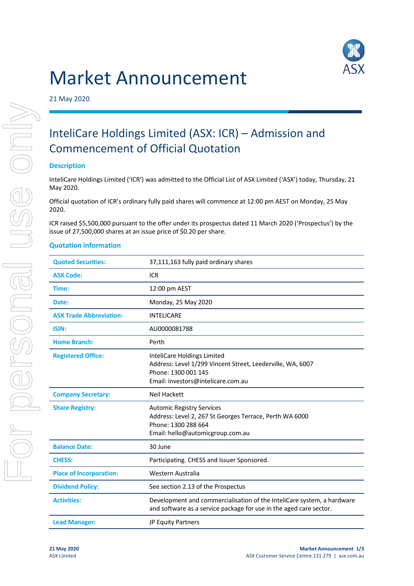# Market Announcement



21 May 2020

# InteliCare Holdings Limited (ASX: ICR) – Admission and Commencement of Official Quotation

# **Description**

InteliCare Holdings Limited ('ICR') was admitted to the Official List of ASX Limited ('ASX') today, Thursday, 21 May 2020.

Official quotation of ICR's ordinary fully paid shares will commence at 12:00 pm AEST on Monday, 25 May 2020.

ICR raised \$5,500,000 pursuant to the offer under its prospectus dated 11 March 2020 ('Prospectus') by the issue of 27,500,000 shares at an issue price of \$0.20 per share.

# **Quotation information**

| <b>Quoted Securities:</b>      | 37,111,163 fully paid ordinary shares                                                                                                                  |
|--------------------------------|--------------------------------------------------------------------------------------------------------------------------------------------------------|
| <b>ASX Code:</b>               | <b>ICR</b>                                                                                                                                             |
| Time:                          | 12:00 pm AEST                                                                                                                                          |
| Date:                          | Monday, 25 May 2020                                                                                                                                    |
| <b>ASX Trade Abbreviation:</b> | <b>INTELICARE</b>                                                                                                                                      |
| <b>ISIN:</b>                   | AU0000081788                                                                                                                                           |
| <b>Home Branch:</b>            | Perth                                                                                                                                                  |
| <b>Registered Office:</b>      | InteliCare Holdings Limited<br>Address: Level 1/299 Vincent Street, Leederville, WA, 6007<br>Phone: 1300 001 145<br>Email: investors@intelicare.com.au |
| <b>Company Secretary:</b>      | <b>Neil Hackett</b>                                                                                                                                    |
| <b>Share Registry:</b>         | <b>Automic Registry Services</b><br>Address: Level 2, 267 St Georges Terrace, Perth WA 6000<br>Phone: 1300 288 664<br>Email: hello@automicgroup.com.au |
| <b>Balance Date:</b>           | 30 June                                                                                                                                                |
| <b>CHESS:</b>                  | Participating. CHESS and Issuer Sponsored.                                                                                                             |
| <b>Place of Incorporation:</b> | Western Australia                                                                                                                                      |
| <b>Dividend Policy:</b>        | See section 2.13 of the Prospectus                                                                                                                     |
| <b>Activities:</b>             | Development and commercialisation of the InteliCare system, a hardware<br>and software as a service package for use in the aged care sector.           |
| <b>Lead Manager:</b>           | <b>JP Equity Partners</b>                                                                                                                              |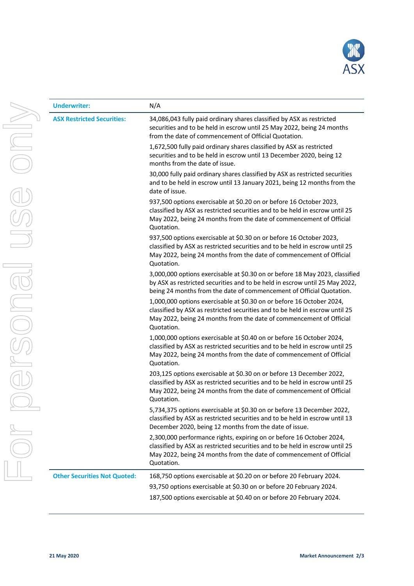

|  | <b>Underwriter:</b>                 | N/A                                                                                                                                                                                                                                        |
|--|-------------------------------------|--------------------------------------------------------------------------------------------------------------------------------------------------------------------------------------------------------------------------------------------|
|  | <b>ASX Restricted Securities:</b>   | 34,086,043 fully paid ordinary shares classified by ASX as restricted<br>securities and to be held in escrow until 25 May 2022, being 24 months<br>from the date of commencement of Official Quotation.                                    |
|  |                                     | 1,672,500 fully paid ordinary shares classified by ASX as restricted<br>securities and to be held in escrow until 13 December 2020, being 12<br>months from the date of issue.                                                             |
|  |                                     | 30,000 fully paid ordinary shares classified by ASX as restricted securities<br>and to be held in escrow until 13 January 2021, being 12 months from the<br>date of issue.                                                                 |
|  |                                     | 937,500 options exercisable at \$0.20 on or before 16 October 2023,<br>classified by ASX as restricted securities and to be held in escrow until 25<br>May 2022, being 24 months from the date of commencement of Official<br>Quotation.   |
|  |                                     | 937,500 options exercisable at \$0.30 on or before 16 October 2023,<br>classified by ASX as restricted securities and to be held in escrow until 25<br>May 2022, being 24 months from the date of commencement of Official<br>Quotation.   |
|  |                                     | 3,000,000 options exercisable at \$0.30 on or before 18 May 2023, classified<br>by ASX as restricted securities and to be held in escrow until 25 May 2022,<br>being 24 months from the date of commencement of Official Quotation.        |
|  |                                     | 1,000,000 options exercisable at \$0.30 on or before 16 October 2024,<br>classified by ASX as restricted securities and to be held in escrow until 25<br>May 2022, being 24 months from the date of commencement of Official<br>Quotation. |
|  |                                     | 1,000,000 options exercisable at \$0.40 on or before 16 October 2024,<br>classified by ASX as restricted securities and to be held in escrow until 25<br>May 2022, being 24 months from the date of commencement of Official<br>Quotation. |
|  |                                     | 203,125 options exercisable at \$0.30 on or before 13 December 2022,<br>classified by ASX as restricted securities and to be held in escrow until 25<br>May 2022, being 24 months from the date of commencement of Official<br>Quotation.  |
|  |                                     | 5,734,375 options exercisable at \$0.30 on or before 13 December 2022,<br>classified by ASX as restricted securities and to be held in escrow until 13<br>December 2020, being 12 months from the date of issue.                           |
|  |                                     | 2,300,000 performance rights, expiring on or before 16 October 2024,<br>classified by ASX as restricted securities and to be held in escrow until 25<br>May 2022, being 24 months from the date of commencement of Official<br>Quotation.  |
|  | <b>Other Securities Not Quoted:</b> | 168,750 options exercisable at \$0.20 on or before 20 February 2024.                                                                                                                                                                       |
|  |                                     | 93,750 options exercisable at \$0.30 on or before 20 February 2024.<br>187,500 options exercisable at \$0.40 on or before 20 February 2024.                                                                                                |
|  |                                     |                                                                                                                                                                                                                                            |